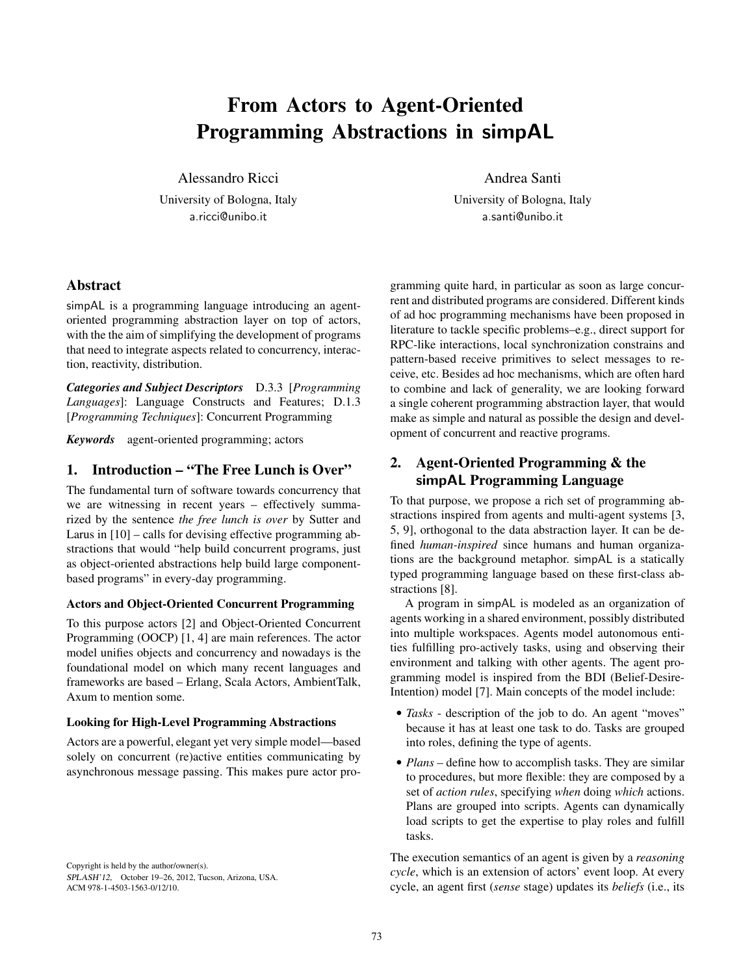# From Actors to Agent-Oriented Programming Abstractions in simpAL

Alessandro Ricci

University of Bologna, Italy a.ricci@unibo.it

Andrea Santi

University of Bologna, Italy a.santi@unibo.it

# Abstract

simpAL is a programming language introducing an agentoriented programming abstraction layer on top of actors, with the the aim of simplifying the development of programs that need to integrate aspects related to concurrency, interaction, reactivity, distribution.

*Categories and Subject Descriptors* D.3.3 [*Programming Languages*]: Language Constructs and Features; D.1.3 [*Programming Techniques*]: Concurrent Programming

*Keywords* agent-oriented programming; actors

# 1. Introduction – "The Free Lunch is Over"

The fundamental turn of software towards concurrency that we are witnessing in recent years – effectively summarized by the sentence *the free lunch is over* by Sutter and Larus in [10] – calls for devising effective programming abstractions that would "help build concurrent programs, just as object-oriented abstractions help build large componentbased programs" in every-day programming.

## Actors and Object-Oriented Concurrent Programming

To this purpose actors [2] and Object-Oriented Concurrent Programming (OOCP) [1, 4] are main references. The actor model unifies objects and concurrency and nowadays is the foundational model on which many recent languages and frameworks are based – Erlang, Scala Actors, AmbientTalk, Axum to mention some.

## Looking for High-Level Programming Abstractions

Actors are a powerful, elegant yet very simple model—based solely on concurrent (re)active entities communicating by asynchronous message passing. This makes pure actor pro-

Copyright is held by the author/owner(s). SPLASH'12, October 19–26, 2012, Tucson, Arizona, USA. ACM 978-1-4503-1563-0/12/10.

gramming quite hard, in particular as soon as large concurrent and distributed programs are considered. Different kinds of ad hoc programming mechanisms have been proposed in literature to tackle specific problems–e.g., direct support for RPC-like interactions, local synchronization constrains and pattern-based receive primitives to select messages to receive, etc. Besides ad hoc mechanisms, which are often hard to combine and lack of generality, we are looking forward a single coherent programming abstraction layer, that would make as simple and natural as possible the design and development of concurrent and reactive programs.

# 2. Agent-Oriented Programming & the simpAL Programming Language

To that purpose, we propose a rich set of programming abstractions inspired from agents and multi-agent systems [3, 5, 9], orthogonal to the data abstraction layer. It can be defined *human-inspired* since humans and human organizations are the background metaphor. simpAL is a statically typed programming language based on these first-class abstractions [8].

A program in simpAL is modeled as an organization of agents working in a shared environment, possibly distributed into multiple workspaces. Agents model autonomous entities fulfilling pro-actively tasks, using and observing their environment and talking with other agents. The agent programming model is inspired from the BDI (Belief-Desire-Intention) model [7]. Main concepts of the model include:

- *Tasks* description of the job to do. An agent "moves" because it has at least one task to do. Tasks are grouped into roles, defining the type of agents.
- *Plans* define how to accomplish tasks. They are similar to procedures, but more flexible: they are composed by a set of *action rules*, specifying *when* doing *which* actions. Plans are grouped into scripts. Agents can dynamically load scripts to get the expertise to play roles and fulfill tasks.

The execution semantics of an agent is given by a *reasoning cycle*, which is an extension of actors' event loop. At every cycle, an agent first (*sense* stage) updates its *beliefs* (i.e., its